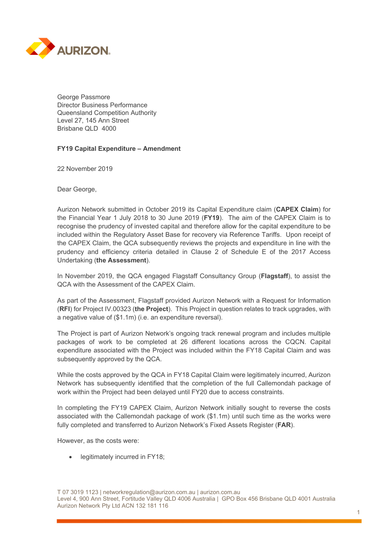

George Passmore Director Business Performance Queensland Competition Authority Level 27, 145 Ann Street Brisbane QLD 4000

## **FY19 Capital Expenditure – Amendment**

22 November 2019

Dear George,

Aurizon Network submitted in October 2019 its Capital Expenditure claim (**CAPEX Claim**) for the Financial Year 1 July 2018 to 30 June 2019 (**FY19**). The aim of the CAPEX Claim is to recognise the prudency of invested capital and therefore allow for the capital expenditure to be included within the Regulatory Asset Base for recovery via Reference Tariffs. Upon receipt of the CAPEX Claim, the QCA subsequently reviews the projects and expenditure in line with the prudency and efficiency criteria detailed in Clause 2 of Schedule E of the 2017 Access Undertaking (**the Assessment**).

In November 2019, the QCA engaged Flagstaff Consultancy Group (**Flagstaff**), to assist the QCA with the Assessment of the CAPEX Claim.

As part of the Assessment, Flagstaff provided Aurizon Network with a Request for Information (**RFI**) for Project IV.00323 (**the Project**). This Project in question relates to track upgrades, with a negative value of (\$1.1m) (i.e. an expenditure reversal).

The Project is part of Aurizon Network's ongoing track renewal program and includes multiple packages of work to be completed at 26 different locations across the CQCN. Capital expenditure associated with the Project was included within the FY18 Capital Claim and was subsequently approved by the QCA.

While the costs approved by the QCA in FY18 Capital Claim were legitimately incurred, Aurizon Network has subsequently identified that the completion of the full Callemondah package of work within the Project had been delayed until FY20 due to access constraints.

In completing the FY19 CAPEX Claim, Aurizon Network initially sought to reverse the costs associated with the Callemondah package of work (\$1.1m) until such time as the works were fully completed and transferred to Aurizon Network's Fixed Assets Register (**FAR**).

However, as the costs were:

• legitimately incurred in FY18;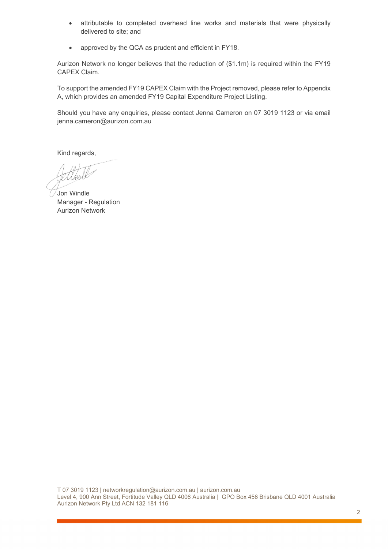- attributable to completed overhead line works and materials that were physically delivered to site; and
- approved by the QCA as prudent and efficient in FY18.

Aurizon Network no longer believes that the reduction of (\$1.1m) is required within the FY19 CAPEX Claim.

To support the amended FY19 CAPEX Claim with the Project removed, please refer to Appendix A, which provides an amended FY19 Capital Expenditure Project Listing.

Should you have any enquiries, please contact Jenna Cameron on 07 3019 1123 or via email jenna.cameron@aurizon.com.au

Kind regards,

Jon Windle Manager - Regulation Aurizon Network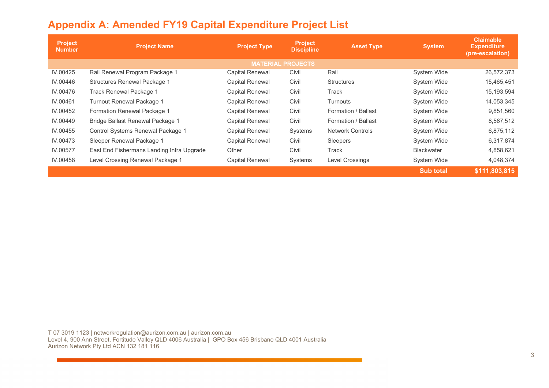|  |  | <b>Appendix A: Amended FY19 Capital Expenditure Project List</b> |  |  |
|--|--|------------------------------------------------------------------|--|--|
|--|--|------------------------------------------------------------------|--|--|

| <b>Project</b><br><b>Number</b> | <b>Project Name</b>                       | <b>Project Type</b>    | <b>Project</b><br><b>Discipline</b> | <b>Asset Type</b>       | <b>System</b>     | <b>Claimable</b><br><b>Expenditure</b><br>(pre-escalation) |  |
|---------------------------------|-------------------------------------------|------------------------|-------------------------------------|-------------------------|-------------------|------------------------------------------------------------|--|
| <b>MATERIAL PROJECTS</b>        |                                           |                        |                                     |                         |                   |                                                            |  |
| IV.00425                        | Rail Renewal Program Package 1            | Capital Renewal        | Civil                               | Rail                    | System Wide       | 26,572,373                                                 |  |
| IV.00446                        | Structures Renewal Package 1              | Capital Renewal        | Civil                               | <b>Structures</b>       | System Wide       | 15,465,451                                                 |  |
| IV.00476                        | Track Renewal Package 1                   | <b>Capital Renewal</b> | Civil                               | Track                   | System Wide       | 15,193,594                                                 |  |
| IV.00461                        | Turnout Renewal Package 1                 | Capital Renewal        | Civil                               | Turnouts                | System Wide       | 14,053,345                                                 |  |
| IV.00452                        | Formation Renewal Package 1               | Capital Renewal        | Civil                               | Formation / Ballast     | System Wide       | 9,851,560                                                  |  |
| IV.00449                        | Bridge Ballast Renewal Package 1          | <b>Capital Renewal</b> | Civil                               | Formation / Ballast     | System Wide       | 8,567,512                                                  |  |
| IV.00455                        | Control Systems Renewal Package 1         | <b>Capital Renewal</b> | Systems                             | <b>Network Controls</b> | System Wide       | 6,875,112                                                  |  |
| IV.00473                        | Sleeper Renewal Package 1                 | <b>Capital Renewal</b> | Civil                               | Sleepers                | System Wide       | 6,317,874                                                  |  |
| IV.00577                        | East End Fishermans Landing Infra Upgrade | Other                  | Civil                               | Track                   | <b>Blackwater</b> | 4,858,621                                                  |  |
| IV.00458                        | Level Crossing Renewal Package 1          | Capital Renewal        | Systems                             | Level Crossings         | System Wide       | 4,048,374                                                  |  |
|                                 |                                           |                        |                                     |                         | <b>Sub total</b>  | \$111,803,815                                              |  |

T 07 3019 1123 | networkregulation@aurizon.com.au | aurizon.com.au Level 4, 900 Ann Street, Fortitude Valley QLD 4006 Australia | GPO Box 456 Brisbane QLD 4001 Australia Aurizon Network Pty Ltd ACN 132 181 116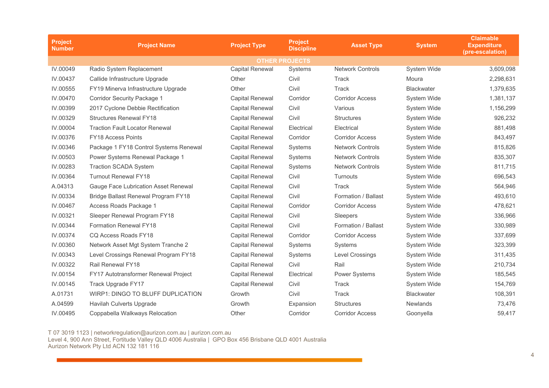| <b>Project</b><br><b>Number</b> | <b>Project Name</b>                    | <b>Project Type</b>    | <b>Project</b><br><b>Discipline</b> | <b>Asset Type</b>       | <b>System</b>      | <b>Claimable</b><br><b>Expenditure</b><br>(pre-escalation) |
|---------------------------------|----------------------------------------|------------------------|-------------------------------------|-------------------------|--------------------|------------------------------------------------------------|
|                                 |                                        |                        | <b>OTHER PROJECTS</b>               |                         |                    |                                                            |
| IV.00049                        | Radio System Replacement               | <b>Capital Renewal</b> | Systems                             | <b>Network Controls</b> | System Wide        | 3,609,098                                                  |
| IV.00437                        | Callide Infrastructure Upgrade         | Other                  | Civil                               | Track                   | Moura              | 2,298,631                                                  |
| IV.00555                        | FY19 Minerva Infrastructure Upgrade    | Other                  | Civil                               | <b>Track</b>            | <b>Blackwater</b>  | 1,379,635                                                  |
| IV.00470                        | <b>Corridor Security Package 1</b>     | <b>Capital Renewal</b> | Corridor                            | <b>Corridor Access</b>  | <b>System Wide</b> | 1,381,137                                                  |
| IV.00399                        | 2017 Cyclone Debbie Rectification      | <b>Capital Renewal</b> | Civil                               | Various                 | <b>System Wide</b> | 1,156,299                                                  |
| IV.00329                        | <b>Structures Renewal FY18</b>         | <b>Capital Renewal</b> | Civil                               | <b>Structures</b>       | <b>System Wide</b> | 926,232                                                    |
| IV.00004                        | <b>Traction Fault Locator Renewal</b>  | <b>Capital Renewal</b> | Electrical                          | Electrical              | System Wide        | 881,498                                                    |
| IV.00376                        | FY18 Access Points                     | Capital Renewal        | Corridor                            | <b>Corridor Access</b>  | System Wide        | 843,497                                                    |
| IV.00346                        | Package 1 FY18 Control Systems Renewal | Capital Renewal        | Systems                             | <b>Network Controls</b> | System Wide        | 815,826                                                    |
| IV.00503                        | Power Systems Renewal Package 1        | <b>Capital Renewal</b> | Systems                             | <b>Network Controls</b> | <b>System Wide</b> | 835,307                                                    |
| IV.00283                        | <b>Traction SCADA System</b>           | Capital Renewal        | Systems                             | <b>Network Controls</b> | <b>System Wide</b> | 811,715                                                    |
| IV.00364                        | <b>Turnout Renewal FY18</b>            | Capital Renewal        | Civil                               | <b>Turnouts</b>         | <b>System Wide</b> | 696,543                                                    |
| A.04313                         | Gauge Face Lubrication Asset Renewal   | <b>Capital Renewal</b> | Civil                               | <b>Track</b>            | System Wide        | 564,946                                                    |
| IV.00334                        | Bridge Ballast Renewal Program FY18    | Capital Renewal        | Civil                               | Formation / Ballast     | System Wide        | 493,610                                                    |
| IV.00467                        | Access Roads Package 1                 | Capital Renewal        | Corridor                            | <b>Corridor Access</b>  | System Wide        | 478,621                                                    |
| IV.00321                        | Sleeper Renewal Program FY18           | Capital Renewal        | Civil                               | Sleepers                | System Wide        | 336,966                                                    |
| IV.00344                        | <b>Formation Renewal FY18</b>          | <b>Capital Renewal</b> | Civil                               | Formation / Ballast     | <b>System Wide</b> | 330,989                                                    |
| IV.00374                        | CQ Access Roads FY18                   | <b>Capital Renewal</b> | Corridor                            | <b>Corridor Access</b>  | <b>System Wide</b> | 337,699                                                    |
| IV.00360                        | Network Asset Mgt System Tranche 2     | Capital Renewal        | Systems                             | Systems                 | System Wide        | 323,399                                                    |
| IV.00343                        | Level Crossings Renewal Program FY18   | <b>Capital Renewal</b> | Systems                             | Level Crossings         | System Wide        | 311,435                                                    |
| IV.00322                        | Rail Renewal FY18                      | Capital Renewal        | Civil                               | Rail                    | System Wide        | 210,734                                                    |
| IV.00154                        | FY17 Autotransformer Renewal Project   | <b>Capital Renewal</b> | Electrical                          | Power Systems           | <b>System Wide</b> | 185,545                                                    |
| IV.00145                        | Track Upgrade FY17                     | <b>Capital Renewal</b> | Civil                               | Track                   | System Wide        | 154,769                                                    |
| A.01731                         | WIRP1: DINGO TO BLUFF DUPLICATION      | Growth                 | Civil                               | Track                   | <b>Blackwater</b>  | 108,391                                                    |
| A.04599                         | Havilah Culverts Upgrade               | Growth                 | Expansion                           | <b>Structures</b>       | <b>Newlands</b>    | 73,476                                                     |
| IV.00495                        | Coppabella Walkways Relocation         | Other                  | Corridor                            | <b>Corridor Access</b>  | Goonyella          | 59,417                                                     |

T 07 3019 1123 | networkregulation@aurizon.com.au | aurizon.com.au

Level 4, 900 Ann Street, Fortitude Valley QLD 4006 Australia | GPO Box 456 Brisbane QLD 4001 Australia Aurizon Network Pty Ltd ACN 132 181 116